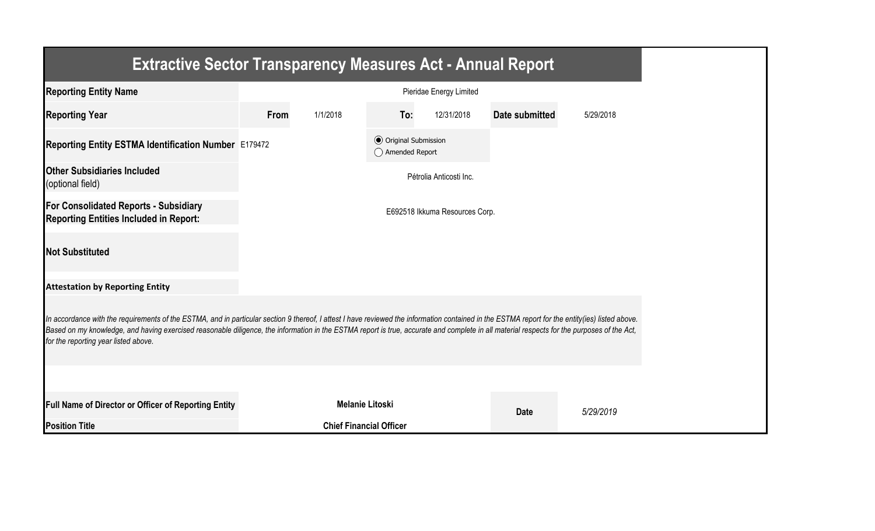| <b>Extractive Sector Transparency Measures Act - Annual Report</b>                                                                                                                                                                                                                                                                                                                                                                    |      |                        |                                                  |                                |                |           |  |  |
|---------------------------------------------------------------------------------------------------------------------------------------------------------------------------------------------------------------------------------------------------------------------------------------------------------------------------------------------------------------------------------------------------------------------------------------|------|------------------------|--------------------------------------------------|--------------------------------|----------------|-----------|--|--|
| <b>Reporting Entity Name</b>                                                                                                                                                                                                                                                                                                                                                                                                          |      |                        |                                                  | Pieridae Energy Limited        |                |           |  |  |
| <b>Reporting Year</b>                                                                                                                                                                                                                                                                                                                                                                                                                 | From | 1/1/2018               | To:                                              | 12/31/2018                     | Date submitted | 5/29/2018 |  |  |
| Reporting Entity ESTMA Identification Number E179472                                                                                                                                                                                                                                                                                                                                                                                  |      |                        | <b>◎</b> Original Submission<br>◯ Amended Report |                                |                |           |  |  |
| <b>Other Subsidiaries Included</b><br>(optional field)                                                                                                                                                                                                                                                                                                                                                                                |      |                        |                                                  | Pétrolia Anticosti Inc.        |                |           |  |  |
| <b>For Consolidated Reports - Subsidiary</b><br><b>Reporting Entities Included in Report:</b>                                                                                                                                                                                                                                                                                                                                         |      |                        |                                                  | E692518 Ikkuma Resources Corp. |                |           |  |  |
| <b>Not Substituted</b>                                                                                                                                                                                                                                                                                                                                                                                                                |      |                        |                                                  |                                |                |           |  |  |
| <b>Attestation by Reporting Entity</b>                                                                                                                                                                                                                                                                                                                                                                                                |      |                        |                                                  |                                |                |           |  |  |
| In accordance with the requirements of the ESTMA, and in particular section 9 thereof, I attest I have reviewed the information contained in the ESTMA report for the entity(ies) listed above.<br>Based on my knowledge, and having exercised reasonable diligence, the information in the ESTMA report is true, accurate and complete in all material respects for the purposes of the Act,<br>for the reporting year listed above. |      |                        |                                                  |                                |                |           |  |  |
|                                                                                                                                                                                                                                                                                                                                                                                                                                       |      |                        |                                                  |                                |                |           |  |  |
| <b>Full Name of Director or Officer of Reporting Entity</b>                                                                                                                                                                                                                                                                                                                                                                           |      | <b>Melanie Litoski</b> |                                                  |                                | <b>Date</b>    | 5/29/2019 |  |  |
| <b>Position Title</b>                                                                                                                                                                                                                                                                                                                                                                                                                 |      |                        | <b>Chief Financial Officer</b>                   |                                |                |           |  |  |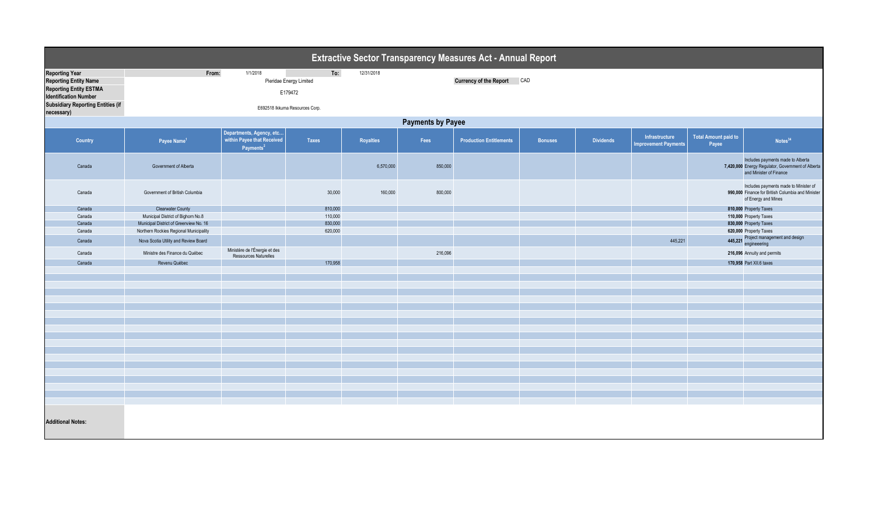| Extractive Sector Transparency Measures Act - Annual Report                                                                                                        |                                                                                  |                                                                                 |                    |            |                            |                                |                |                  |                                               |                                      |                                                                                                                   |  |
|--------------------------------------------------------------------------------------------------------------------------------------------------------------------|----------------------------------------------------------------------------------|---------------------------------------------------------------------------------|--------------------|------------|----------------------------|--------------------------------|----------------|------------------|-----------------------------------------------|--------------------------------------|-------------------------------------------------------------------------------------------------------------------|--|
| <b>Reporting Year</b><br><b>Reporting Entity Name</b><br><b>Reporting Entity ESTMA</b><br><b>Identification Number</b><br><b>Subsidiary Reporting Entities (if</b> | To:<br>From:<br>1/1/2018<br>Pieridae Energy Limited<br>E179472                   |                                                                                 |                    | 12/31/2018 | Currency of the Report CAD |                                |                |                  |                                               |                                      |                                                                                                                   |  |
| necessary)                                                                                                                                                         | E692518 Ikkuma Resources Corp.                                                   |                                                                                 |                    |            |                            |                                |                |                  |                                               |                                      |                                                                                                                   |  |
| <b>Payments by Payee</b>                                                                                                                                           |                                                                                  |                                                                                 |                    |            |                            |                                |                |                  |                                               |                                      |                                                                                                                   |  |
| Country                                                                                                                                                            | Payee Name <sup>1</sup>                                                          | Departments, Agency, etc<br>within Payee that Received<br>Payments <sup>2</sup> | Taxes              | Royalties  | Fees                       | <b>Production Entitlements</b> | <b>Bonuses</b> | <b>Dividends</b> | Infrastructure<br><b>Improvement Payments</b> | <b>Total Amount paid to</b><br>Payee | Notes <sup>34</sup>                                                                                               |  |
| Canada                                                                                                                                                             | Government of Alberta                                                            |                                                                                 |                    | 6,570,000  | 850,000                    |                                |                |                  |                                               |                                      | Includes payments made to Alberta<br>7,420,000 Energy Regulator, Government of Alberta<br>and Minister of Finance |  |
| Canada                                                                                                                                                             | Government of British Columbia                                                   |                                                                                 | 30,000             | 160,000    | 800,000                    |                                |                |                  |                                               |                                      | Includes payments made to Minister of<br>990,000 Finance for British Columbia and Minister<br>of Energy and Mines |  |
| Canada                                                                                                                                                             | <b>Clearwater County</b>                                                         |                                                                                 | 810,000            |            |                            |                                |                |                  |                                               |                                      | 810,000 Property Taxes                                                                                            |  |
| Canada                                                                                                                                                             | Municipal District of Bighorn No.8                                               |                                                                                 | 110,000            |            |                            |                                |                |                  |                                               |                                      | 110,000 Property Taxes                                                                                            |  |
| Canada<br>Canada                                                                                                                                                   | Municipal District of Greenview No. 16<br>Northern Rockies Regional Municipality |                                                                                 | 830,000<br>620,000 |            |                            |                                |                |                  |                                               |                                      | 830,000 Property Taxes<br>620,000 Property Taxes                                                                  |  |
|                                                                                                                                                                    |                                                                                  |                                                                                 |                    |            |                            |                                |                |                  |                                               |                                      |                                                                                                                   |  |
| Canada                                                                                                                                                             | Nova Scotia Utility and Review Board                                             |                                                                                 |                    |            |                            |                                |                |                  | 445,221                                       |                                      | 445,221 Project management and design<br>engineeering                                                             |  |
| Canada                                                                                                                                                             | Ministre des Finance du Québec                                                   | Ministère de l'Énergie et des<br>Ressources Naturelles                          |                    |            | 216,096                    |                                |                |                  |                                               |                                      | 216,096 Annuity and permits                                                                                       |  |
| Canada                                                                                                                                                             | Revenu Québec                                                                    |                                                                                 | 170,958            |            |                            |                                |                |                  |                                               |                                      | 170,958 Part XII.6 taxes                                                                                          |  |
|                                                                                                                                                                    |                                                                                  |                                                                                 |                    |            |                            |                                |                |                  |                                               |                                      |                                                                                                                   |  |
|                                                                                                                                                                    |                                                                                  |                                                                                 |                    |            |                            |                                |                |                  |                                               |                                      |                                                                                                                   |  |
|                                                                                                                                                                    |                                                                                  |                                                                                 |                    |            |                            |                                |                |                  |                                               |                                      |                                                                                                                   |  |
|                                                                                                                                                                    |                                                                                  |                                                                                 |                    |            |                            |                                |                |                  |                                               |                                      |                                                                                                                   |  |
|                                                                                                                                                                    |                                                                                  |                                                                                 |                    |            |                            |                                |                |                  |                                               |                                      |                                                                                                                   |  |
|                                                                                                                                                                    |                                                                                  |                                                                                 |                    |            |                            |                                |                |                  |                                               |                                      |                                                                                                                   |  |
|                                                                                                                                                                    |                                                                                  |                                                                                 |                    |            |                            |                                |                |                  |                                               |                                      |                                                                                                                   |  |
|                                                                                                                                                                    |                                                                                  |                                                                                 |                    |            |                            |                                |                |                  |                                               |                                      |                                                                                                                   |  |
|                                                                                                                                                                    |                                                                                  |                                                                                 |                    |            |                            |                                |                |                  |                                               |                                      |                                                                                                                   |  |
|                                                                                                                                                                    |                                                                                  |                                                                                 |                    |            |                            |                                |                |                  |                                               |                                      |                                                                                                                   |  |
|                                                                                                                                                                    |                                                                                  |                                                                                 |                    |            |                            |                                |                |                  |                                               |                                      |                                                                                                                   |  |
|                                                                                                                                                                    |                                                                                  |                                                                                 |                    |            |                            |                                |                |                  |                                               |                                      |                                                                                                                   |  |
|                                                                                                                                                                    |                                                                                  |                                                                                 |                    |            |                            |                                |                |                  |                                               |                                      |                                                                                                                   |  |
|                                                                                                                                                                    |                                                                                  |                                                                                 |                    |            |                            |                                |                |                  |                                               |                                      |                                                                                                                   |  |
|                                                                                                                                                                    |                                                                                  |                                                                                 |                    |            |                            |                                |                |                  |                                               |                                      |                                                                                                                   |  |
|                                                                                                                                                                    |                                                                                  |                                                                                 |                    |            |                            |                                |                |                  |                                               |                                      |                                                                                                                   |  |
|                                                                                                                                                                    |                                                                                  |                                                                                 |                    |            |                            |                                |                |                  |                                               |                                      |                                                                                                                   |  |
| <b>Additional Notes:</b>                                                                                                                                           |                                                                                  |                                                                                 |                    |            |                            |                                |                |                  |                                               |                                      |                                                                                                                   |  |